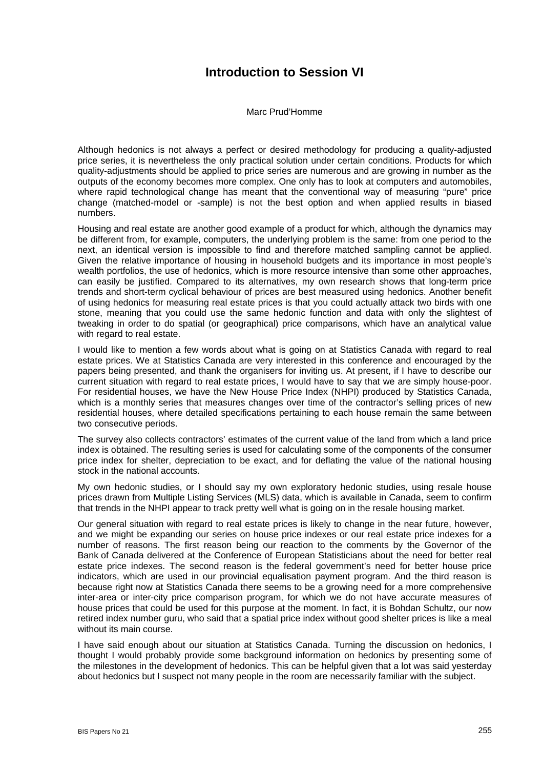## **Introduction to Session VI**

Marc Prud'Homme

Although hedonics is not always a perfect or desired methodology for producing a quality-adjusted price series, it is nevertheless the only practical solution under certain conditions. Products for which quality-adjustments should be applied to price series are numerous and are growing in number as the outputs of the economy becomes more complex. One only has to look at computers and automobiles, where rapid technological change has meant that the conventional way of measuring "pure" price change (matched-model or -sample) is not the best option and when applied results in biased numbers.

Housing and real estate are another good example of a product for which, although the dynamics may be different from, for example, computers, the underlying problem is the same: from one period to the next, an identical version is impossible to find and therefore matched sampling cannot be applied. Given the relative importance of housing in household budgets and its importance in most people's wealth portfolios, the use of hedonics, which is more resource intensive than some other approaches, can easily be justified. Compared to its alternatives, my own research shows that long-term price trends and short-term cyclical behaviour of prices are best measured using hedonics. Another benefit of using hedonics for measuring real estate prices is that you could actually attack two birds with one stone, meaning that you could use the same hedonic function and data with only the slightest of tweaking in order to do spatial (or geographical) price comparisons, which have an analytical value with regard to real estate.

I would like to mention a few words about what is going on at Statistics Canada with regard to real estate prices. We at Statistics Canada are very interested in this conference and encouraged by the papers being presented, and thank the organisers for inviting us. At present, if I have to describe our current situation with regard to real estate prices, I would have to say that we are simply house-poor. For residential houses, we have the New House Price Index (NHPI) produced by Statistics Canada, which is a monthly series that measures changes over time of the contractor's selling prices of new residential houses, where detailed specifications pertaining to each house remain the same between two consecutive periods.

The survey also collects contractors' estimates of the current value of the land from which a land price index is obtained. The resulting series is used for calculating some of the components of the consumer price index for shelter, depreciation to be exact, and for deflating the value of the national housing stock in the national accounts.

My own hedonic studies, or I should say my own exploratory hedonic studies, using resale house prices drawn from Multiple Listing Services (MLS) data, which is available in Canada, seem to confirm that trends in the NHPI appear to track pretty well what is going on in the resale housing market.

Our general situation with regard to real estate prices is likely to change in the near future, however, and we might be expanding our series on house price indexes or our real estate price indexes for a number of reasons. The first reason being our reaction to the comments by the Governor of the Bank of Canada delivered at the Conference of European Statisticians about the need for better real estate price indexes. The second reason is the federal government's need for better house price indicators, which are used in our provincial equalisation payment program. And the third reason is because right now at Statistics Canada there seems to be a growing need for a more comprehensive inter-area or inter-city price comparison program, for which we do not have accurate measures of house prices that could be used for this purpose at the moment. In fact, it is Bohdan Schultz, our now retired index number guru, who said that a spatial price index without good shelter prices is like a meal without its main course.

I have said enough about our situation at Statistics Canada. Turning the discussion on hedonics, I thought I would probably provide some background information on hedonics by presenting some of the milestones in the development of hedonics. This can be helpful given that a lot was said yesterday about hedonics but I suspect not many people in the room are necessarily familiar with the subject.